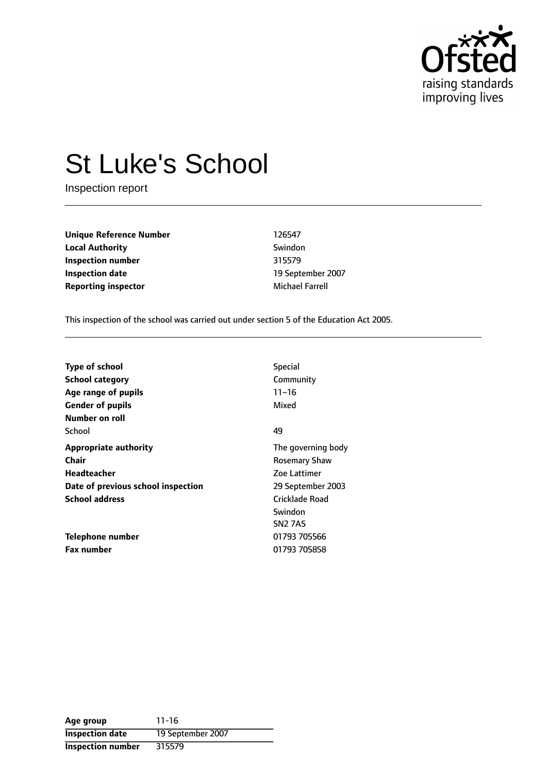

# St Luke's School

Inspection report

**Unique Reference Number** 126547 **Local Authority** Swindon **Inspection number** 315579 **Inspection date** 19 September 2007 **Reporting inspector and a structure of the Michael Farrell** 

This inspection of the school was carried out under section 5 of the Education Act 2005.

| <b>Type of school</b>              | Special              |
|------------------------------------|----------------------|
| <b>School category</b>             | Community            |
| Age range of pupils                | $11 - 16$            |
| <b>Gender of pupils</b>            | Mixed                |
| Number on roll                     |                      |
| School                             | 49                   |
| <b>Appropriate authority</b>       | The governing body   |
| <b>Chair</b>                       | <b>Rosemary Shaw</b> |
| Headteacher                        | Zoe Lattimer         |
| Date of previous school inspection | 29 September 2003    |
| <b>School address</b>              | Cricklade Road       |
|                                    | Swindon              |
|                                    | SN <sub>2</sub> 7AS  |
| Telephone number                   | 01793 705566         |
| <b>Fax number</b>                  | 01793 705858         |

| Age group                | $11 - 16$         |
|--------------------------|-------------------|
| <b>Inspection date</b>   | 19 September 2007 |
| <b>Inspection number</b> | 315579            |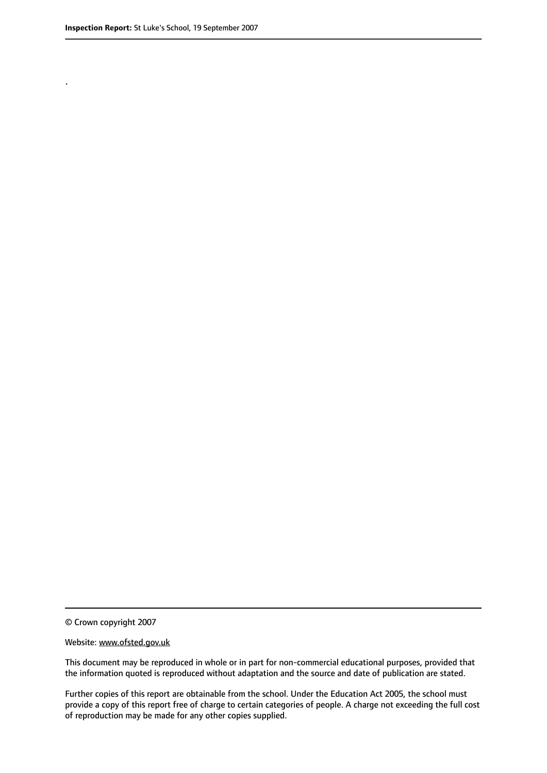.

© Crown copyright 2007

#### Website: www.ofsted.gov.uk

This document may be reproduced in whole or in part for non-commercial educational purposes, provided that the information quoted is reproduced without adaptation and the source and date of publication are stated.

Further copies of this report are obtainable from the school. Under the Education Act 2005, the school must provide a copy of this report free of charge to certain categories of people. A charge not exceeding the full cost of reproduction may be made for any other copies supplied.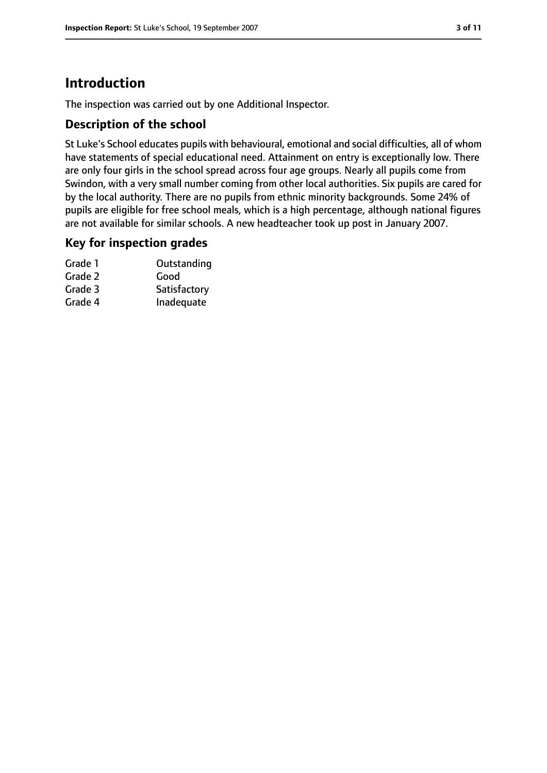# **Introduction**

The inspection was carried out by one Additional Inspector.

## **Description of the school**

St Luke's School educates pupils with behavioural, emotional and social difficulties, all of whom have statements of special educational need. Attainment on entry is exceptionally low. There are only four girls in the school spread across four age groups. Nearly all pupils come from Swindon, with a very small number coming from other local authorities. Six pupils are cared for by the local authority. There are no pupils from ethnic minority backgrounds. Some 24% of pupils are eligible for free school meals, which is a high percentage, although national figures are not available for similar schools. A new headteacher took up post in January 2007.

## **Key for inspection grades**

| Grade 1 | Outstanding  |
|---------|--------------|
| Grade 2 | Good         |
| Grade 3 | Satisfactory |
| Grade 4 | Inadequate   |
|         |              |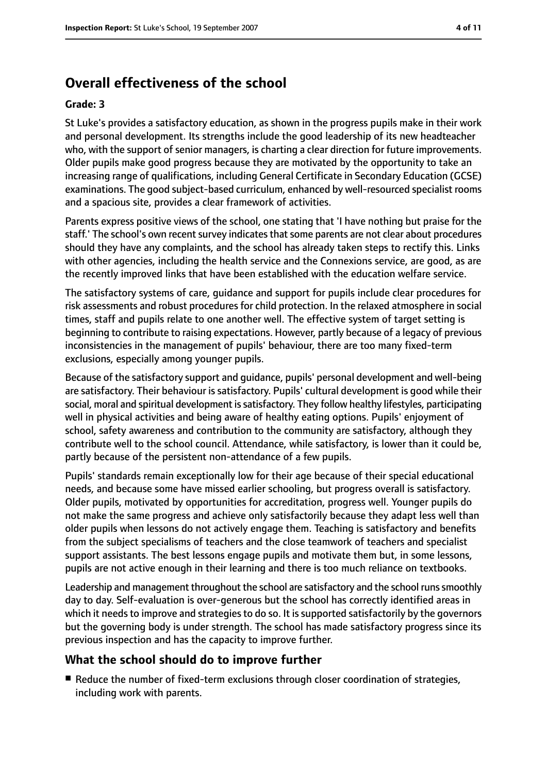# **Overall effectiveness of the school**

#### **Grade: 3**

St Luke's provides a satisfactory education, as shown in the progress pupils make in their work and personal development. Its strengths include the good leadership of its new headteacher who, with the support of senior managers, is charting a clear direction for future improvements. Older pupils make good progress because they are motivated by the opportunity to take an increasing range of qualifications, including General Certificate in Secondary Education (GCSE) examinations. The good subject-based curriculum, enhanced by well-resourced specialist rooms and a spacious site, provides a clear framework of activities.

Parents express positive views of the school, one stating that 'I have nothing but praise for the staff.' The school's own recent survey indicates that some parents are not clear about procedures should they have any complaints, and the school has already taken steps to rectify this. Links with other agencies, including the health service and the Connexions service, are good, as are the recently improved links that have been established with the education welfare service.

The satisfactory systems of care, guidance and support for pupils include clear procedures for risk assessments and robust procedures for child protection. In the relaxed atmosphere in social times, staff and pupils relate to one another well. The effective system of target setting is beginning to contribute to raising expectations. However, partly because of a legacy of previous inconsistencies in the management of pupils' behaviour, there are too many fixed-term exclusions, especially among younger pupils.

Because of the satisfactory support and guidance, pupils' personal development and well-being are satisfactory. Their behaviour is satisfactory. Pupils' cultural development is good while their social, moral and spiritual development is satisfactory. They follow healthy lifestyles, participating well in physical activities and being aware of healthy eating options. Pupils' enjoyment of school, safety awareness and contribution to the community are satisfactory, although they contribute well to the school council. Attendance, while satisfactory, is lower than it could be, partly because of the persistent non-attendance of a few pupils.

Pupils' standards remain exceptionally low for their age because of their special educational needs, and because some have missed earlier schooling, but progress overall is satisfactory. Older pupils, motivated by opportunities for accreditation, progress well. Younger pupils do not make the same progress and achieve only satisfactorily because they adapt less well than older pupils when lessons do not actively engage them. Teaching is satisfactory and benefits from the subject specialisms of teachers and the close teamwork of teachers and specialist support assistants. The best lessons engage pupils and motivate them but, in some lessons, pupils are not active enough in their learning and there is too much reliance on textbooks.

Leadership and management throughout the school are satisfactory and the school runssmoothly day to day. Self-evaluation is over-generous but the school has correctly identified areas in which it needs to improve and strategies to do so. It is supported satisfactorily by the governors but the governing body is under strength. The school has made satisfactory progress since its previous inspection and has the capacity to improve further.

## **What the school should do to improve further**

■ Reduce the number of fixed-term exclusions through closer coordination of strategies, including work with parents.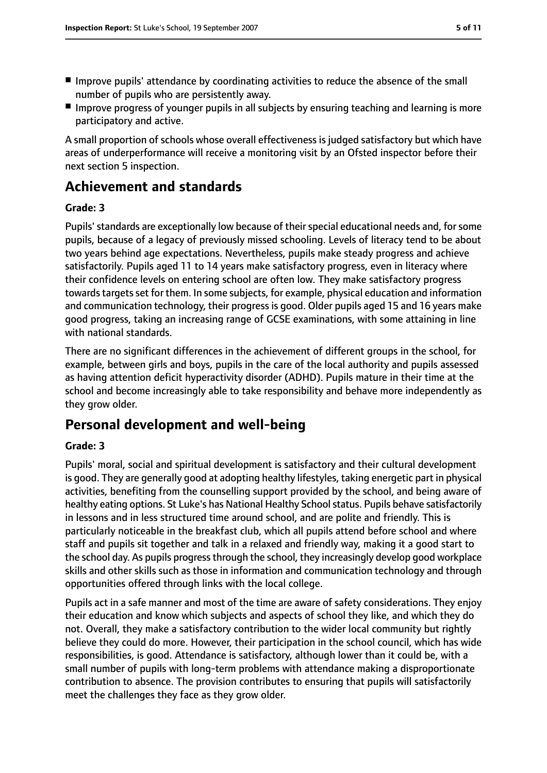- Improve pupils' attendance by coordinating activities to reduce the absence of the small number of pupils who are persistently away.
- Improve progress of younger pupils in all subjects by ensuring teaching and learning is more participatory and active.

A small proportion of schools whose overall effectiveness is judged satisfactory but which have areas of underperformance will receive a monitoring visit by an Ofsted inspector before their next section 5 inspection.

# **Achievement and standards**

## **Grade: 3**

Pupils' standards are exceptionally low because of their special educational needs and, for some pupils, because of a legacy of previously missed schooling. Levels of literacy tend to be about two years behind age expectations. Nevertheless, pupils make steady progress and achieve satisfactorily. Pupils aged 11 to 14 years make satisfactory progress, even in literacy where their confidence levels on entering school are often low. They make satisfactory progress towards targets set for them. In some subjects, for example, physical education and information and communication technology, their progress is good. Older pupils aged 15 and 16 years make good progress, taking an increasing range of GCSE examinations, with some attaining in line with national standards.

There are no significant differences in the achievement of different groups in the school, for example, between girls and boys, pupils in the care of the local authority and pupils assessed as having attention deficit hyperactivity disorder (ADHD). Pupils mature in their time at the school and become increasingly able to take responsibility and behave more independently as they grow older.

# **Personal development and well-being**

## **Grade: 3**

Pupils' moral, social and spiritual development is satisfactory and their cultural development is good. They are generally good at adopting healthy lifestyles, taking energetic part in physical activities, benefiting from the counselling support provided by the school, and being aware of healthy eating options. St Luke's has National Healthy School status. Pupils behave satisfactorily in lessons and in less structured time around school, and are polite and friendly. This is particularly noticeable in the breakfast club, which all pupils attend before school and where staff and pupils sit together and talk in a relaxed and friendly way, making it a good start to the school day. As pupils progressthrough the school, they increasingly develop good workplace skills and other skills such as those in information and communication technology and through opportunities offered through links with the local college.

Pupils act in a safe manner and most of the time are aware of safety considerations. They enjoy their education and know which subjects and aspects of school they like, and which they do not. Overall, they make a satisfactory contribution to the wider local community but rightly believe they could do more. However, their participation in the school council, which has wide responsibilities, is good. Attendance is satisfactory, although lower than it could be, with a small number of pupils with long-term problems with attendance making a disproportionate contribution to absence. The provision contributes to ensuring that pupils will satisfactorily meet the challenges they face as they grow older.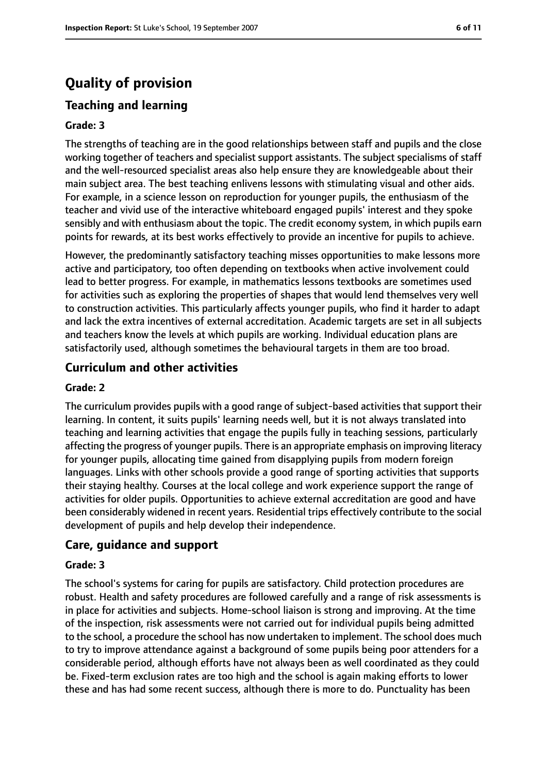# **Quality of provision**

## **Teaching and learning**

#### **Grade: 3**

The strengths of teaching are in the good relationships between staff and pupils and the close working together of teachers and specialist support assistants. The subject specialisms of staff and the well-resourced specialist areas also help ensure they are knowledgeable about their main subject area. The best teaching enlivens lessons with stimulating visual and other aids. For example, in a science lesson on reproduction for younger pupils, the enthusiasm of the teacher and vivid use of the interactive whiteboard engaged pupils' interest and they spoke sensibly and with enthusiasm about the topic. The credit economy system, in which pupils earn points for rewards, at its best works effectively to provide an incentive for pupils to achieve.

However, the predominantly satisfactory teaching misses opportunities to make lessons more active and participatory, too often depending on textbooks when active involvement could lead to better progress. For example, in mathematics lessons textbooks are sometimes used for activities such as exploring the properties of shapes that would lend themselves very well to construction activities. This particularly affects younger pupils, who find it harder to adapt and lack the extra incentives of external accreditation. Academic targets are set in all subjects and teachers know the levels at which pupils are working. Individual education plans are satisfactorily used, although sometimes the behavioural targets in them are too broad.

#### **Curriculum and other activities**

#### **Grade: 2**

The curriculum provides pupils with a good range of subject-based activities that support their learning. In content, it suits pupils' learning needs well, but it is not always translated into teaching and learning activities that engage the pupils fully in teaching sessions, particularly affecting the progress of younger pupils. There is an appropriate emphasis on improving literacy for younger pupils, allocating time gained from disapplying pupils from modern foreign languages. Links with other schools provide a good range of sporting activities that supports their staying healthy. Courses at the local college and work experience support the range of activities for older pupils. Opportunities to achieve external accreditation are good and have been considerably widened in recent years. Residential trips effectively contribute to the social development of pupils and help develop their independence.

#### **Care, guidance and support**

#### **Grade: 3**

The school's systems for caring for pupils are satisfactory. Child protection procedures are robust. Health and safety procedures are followed carefully and a range of risk assessments is in place for activities and subjects. Home-school liaison is strong and improving. At the time of the inspection, risk assessments were not carried out for individual pupils being admitted to the school, a procedure the school has now undertaken to implement. The school does much to try to improve attendance against a background of some pupils being poor attenders for a considerable period, although efforts have not always been as well coordinated as they could be. Fixed-term exclusion rates are too high and the school is again making efforts to lower these and has had some recent success, although there is more to do. Punctuality has been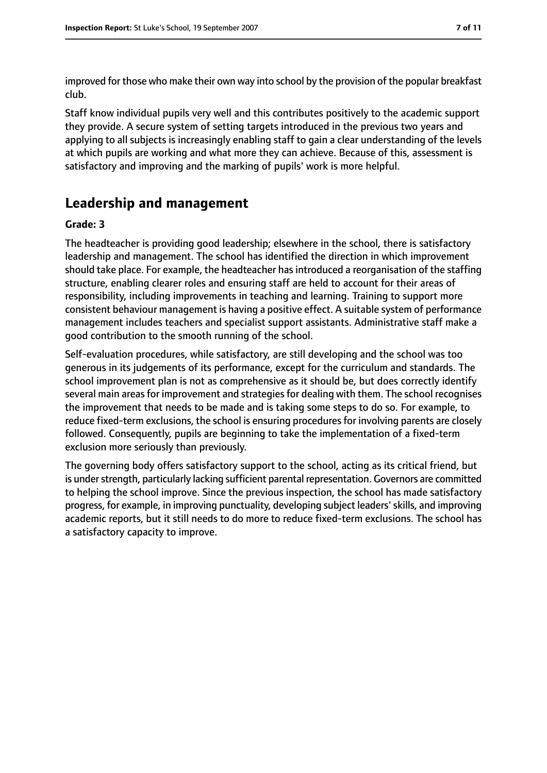improved for those who make their own way into school by the provision of the popular breakfast club.

Staff know individual pupils very well and this contributes positively to the academic support they provide. A secure system of setting targets introduced in the previous two years and applying to all subjects is increasingly enabling staff to gain a clear understanding of the levels at which pupils are working and what more they can achieve. Because of this, assessment is satisfactory and improving and the marking of pupils' work is more helpful.

# **Leadership and management**

#### **Grade: 3**

The headteacher is providing good leadership; elsewhere in the school, there is satisfactory leadership and management. The school has identified the direction in which improvement should take place. For example, the headteacher has introduced a reorganisation of the staffing structure, enabling clearer roles and ensuring staff are held to account for their areas of responsibility, including improvements in teaching and learning. Training to support more consistent behaviour management is having a positive effect. A suitable system of performance management includes teachers and specialist support assistants. Administrative staff make a good contribution to the smooth running of the school.

Self-evaluation procedures, while satisfactory, are still developing and the school was too generous in its judgements of its performance, except for the curriculum and standards. The school improvement plan is not as comprehensive as it should be, but does correctly identify several main areas for improvement and strategies for dealing with them. The school recognises the improvement that needs to be made and is taking some steps to do so. For example, to reduce fixed-term exclusions, the school is ensuring procedures for involving parents are closely followed. Consequently, pupils are beginning to take the implementation of a fixed-term exclusion more seriously than previously.

The governing body offers satisfactory support to the school, acting as its critical friend, but is under strength, particularly lacking sufficient parental representation. Governors are committed to helping the school improve. Since the previous inspection, the school has made satisfactory progress, for example, in improving punctuality, developing subject leaders'skills, and improving academic reports, but it still needs to do more to reduce fixed-term exclusions. The school has a satisfactory capacity to improve.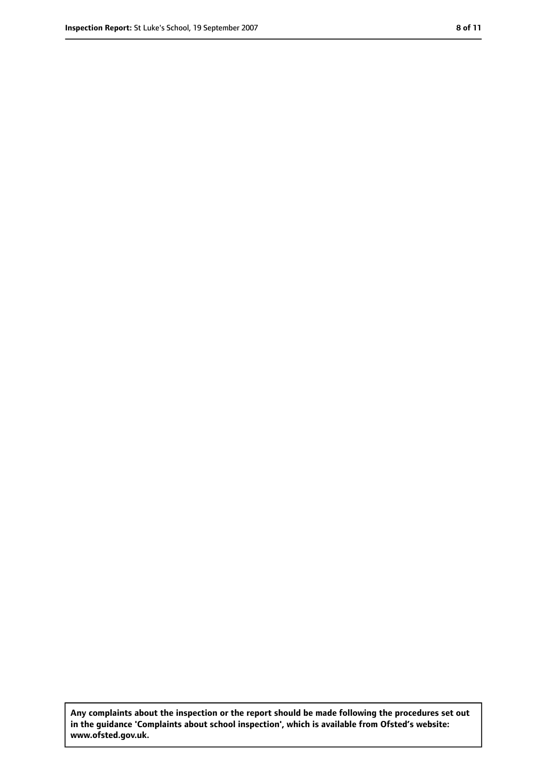**Any complaints about the inspection or the report should be made following the procedures set out in the guidance 'Complaints about school inspection', which is available from Ofsted's website: www.ofsted.gov.uk.**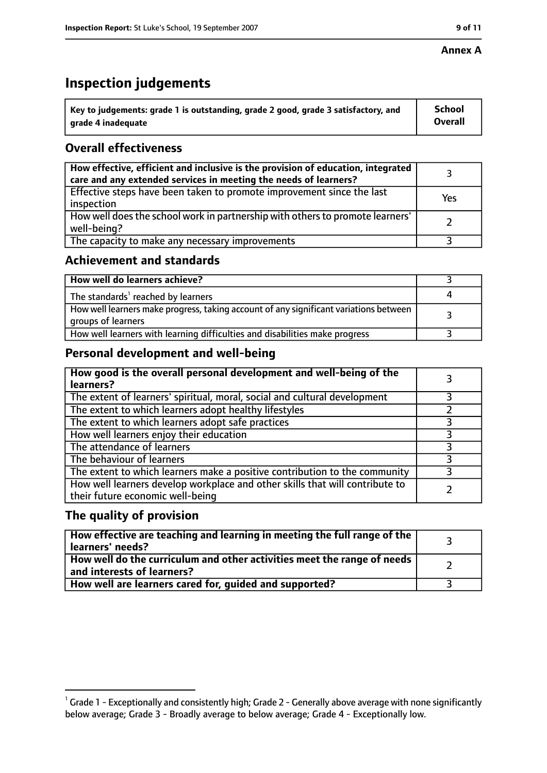#### **Annex A**

# **Inspection judgements**

| $^{\backprime}$ Key to judgements: grade 1 is outstanding, grade 2 good, grade 3 satisfactory, and | School         |
|----------------------------------------------------------------------------------------------------|----------------|
| arade 4 inadeguate                                                                                 | <b>Overall</b> |

# **Overall effectiveness**

| How effective, efficient and inclusive is the provision of education, integrated<br>care and any extended services in meeting the needs of learners? |     |
|------------------------------------------------------------------------------------------------------------------------------------------------------|-----|
| Effective steps have been taken to promote improvement since the last<br>inspection                                                                  | Yes |
| How well does the school work in partnership with others to promote learners'<br>well-being?                                                         |     |
| The capacity to make any necessary improvements                                                                                                      |     |

# **Achievement and standards**

| How well do learners achieve?                                                                               |  |
|-------------------------------------------------------------------------------------------------------------|--|
| The standards <sup>1</sup> reached by learners                                                              |  |
| How well learners make progress, taking account of any significant variations between<br>groups of learners |  |
| How well learners with learning difficulties and disabilities make progress                                 |  |

# **Personal development and well-being**

| How good is the overall personal development and well-being of the<br>learners?                                  |   |
|------------------------------------------------------------------------------------------------------------------|---|
| The extent of learners' spiritual, moral, social and cultural development                                        |   |
| The extent to which learners adopt healthy lifestyles                                                            |   |
| The extent to which learners adopt safe practices                                                                |   |
| How well learners enjoy their education                                                                          |   |
| The attendance of learners                                                                                       | 3 |
| The behaviour of learners                                                                                        |   |
| The extent to which learners make a positive contribution to the community                                       | २ |
| How well learners develop workplace and other skills that will contribute to<br>their future economic well-being |   |

## **The quality of provision**

| $\mid$ How effective are teaching and learning in meeting the full range of the $\mid$<br>learners' needs? |  |
|------------------------------------------------------------------------------------------------------------|--|
| How well do the curriculum and other activities meet the range of needs  <br>and interests of learners?    |  |
| How well are learners cared for, guided and supported?                                                     |  |

 $^1$  Grade 1 - Exceptionally and consistently high; Grade 2 - Generally above average with none significantly below average; Grade 3 - Broadly average to below average; Grade 4 - Exceptionally low.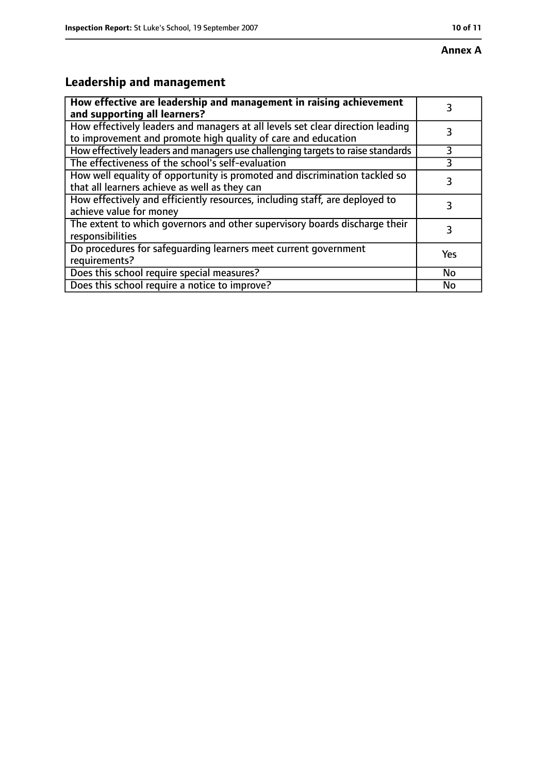# **Annex A**

# **Leadership and management**

| How effective are leadership and management in raising achievement<br>and supporting all learners?                                              |     |
|-------------------------------------------------------------------------------------------------------------------------------------------------|-----|
| How effectively leaders and managers at all levels set clear direction leading<br>to improvement and promote high quality of care and education |     |
| How effectively leaders and managers use challenging targets to raise standards                                                                 | 3   |
| The effectiveness of the school's self-evaluation                                                                                               | 3   |
| How well equality of opportunity is promoted and discrimination tackled so<br>that all learners achieve as well as they can                     | 3   |
| How effectively and efficiently resources, including staff, are deployed to<br>achieve value for money                                          | 3   |
| The extent to which governors and other supervisory boards discharge their<br>responsibilities                                                  | 3   |
| Do procedures for safequarding learners meet current government<br>requirements?                                                                | Yes |
| Does this school require special measures?                                                                                                      | No  |
| Does this school require a notice to improve?                                                                                                   | No  |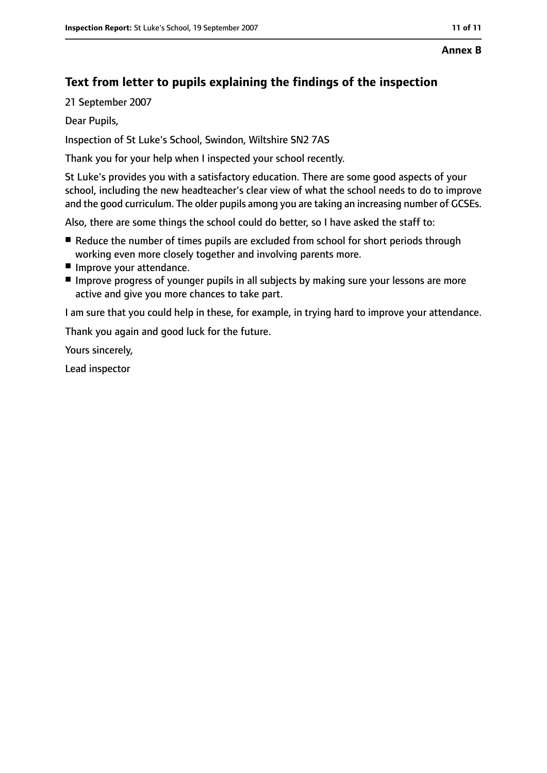#### **Annex B**

## **Text from letter to pupils explaining the findings of the inspection**

21 September 2007

Dear Pupils,

Inspection of St Luke's School, Swindon, Wiltshire SN2 7AS

Thank you for your help when I inspected your school recently.

St Luke's provides you with a satisfactory education. There are some good aspects of your school, including the new headteacher's clear view of what the school needs to do to improve and the good curriculum. The older pupils among you are taking an increasing number of GCSEs.

Also, there are some things the school could do better, so I have asked the staff to:

- Reduce the number of times pupils are excluded from school for short periods through working even more closely together and involving parents more.
- Improve your attendance.
- Improve progress of younger pupils in all subjects by making sure your lessons are more active and give you more chances to take part.

I am sure that you could help in these, for example, in trying hard to improve your attendance.

Thank you again and good luck for the future.

Yours sincerely,

Lead inspector